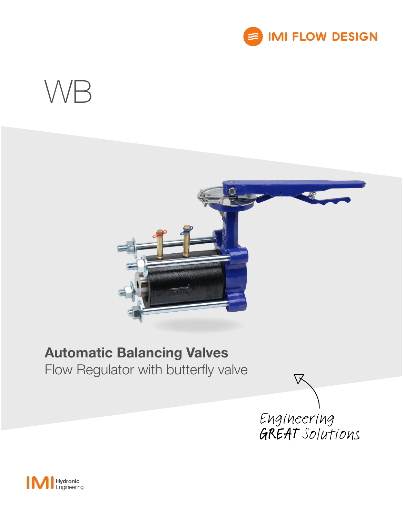





# Automatic Balancing Valves

Flow Regulator with butterfly valve



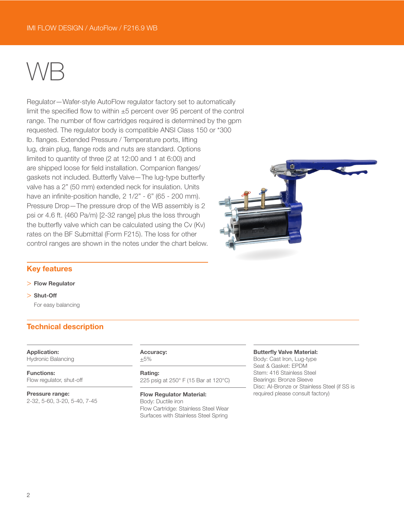# WB

Regulator—Wafer-style AutoFlow regulator factory set to automatically limit the specified flow to within  $\pm 5$  percent over 95 percent of the control range. The number of flow cartridges required is determined by the gpm requested. The regulator body is compatible ANSI Class 150 or \*300 lb. flanges. Extended Pressure / Temperature ports, lifting lug, drain plug, flange rods and nuts are standard. Options limited to quantity of three (2 at 12:00 and 1 at 6:00) and are shipped loose for field installation. Companion flanges/ gaskets not included. Butterfly Valve—The lug-type butterfly valve has a 2" (50 mm) extended neck for insulation. Units have an infinite-position handle, 2 1/2" - 6" (65 - 200 mm). Pressure Drop—The pressure drop of the WB assembly is 2 psi or 4.6 ft. (460 Pa/m) [2-32 range] plus the loss through the butterfly valve which can be calculated using the Cv (Kv) rates on the BF Submittal (Form F215). The loss for other control ranges are shown in the notes under the chart below.



## Key features

### > Flow Regulator

> Shut-Off For easy balancing

# Technical description

Application: Hydronic Balancing

Functions: Flow regulator, shut-off

Pressure range: 2-32, 5-60, 3-20, 5-40, 7-45

#### Accuracy:  $+5%$

Rating: 225 psig at 250° F (15 Bar at 120°C)

Flow Regulator Material: Body: Ductile iron Flow Cartridge: Stainless Steel Wear Surfaces with Stainless Steel Spring

#### Butterfly Valve Material:

Body: Cast Iron, Lug-type Seat & Gasket: EPDM Stem: 416 Stainless Steel Bearings: Bronze Sleeve Disc: AI-Bronze or Stainless Steel (if SS is required please consult factory)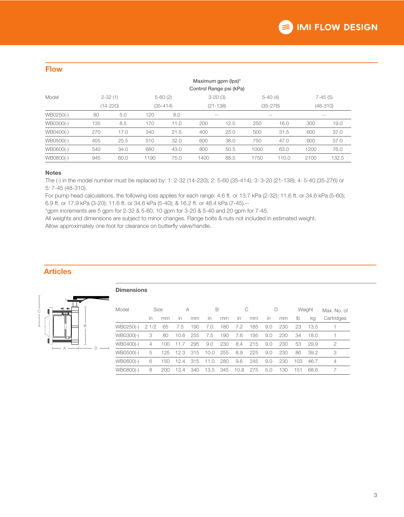| ____<br>_                   |         |
|-----------------------------|---------|
| _<br><b>Service Service</b> | ٠       |
|                             |         |
|                             | _<br>٠. |
|                             |         |

|           | Maximum gpm (lps)*<br>Control Range psi (kPa) |              |      |            |       |              |       |              |           |            |  |  |
|-----------|-----------------------------------------------|--------------|------|------------|-------|--------------|-------|--------------|-----------|------------|--|--|
| Model     | $2 - 32(1)$                                   |              |      | $5-60(2)$  |       | $3 - 20(3)$  |       | $5-40(4)$    | $7-45(5)$ |            |  |  |
|           |                                               | $(14 - 220)$ |      | $(35-414)$ |       | $(21 - 138)$ |       | $(35 - 276)$ |           | $(48-310)$ |  |  |
| WB0250(-) | 80                                            | 5.0          | 120  | 8.0        | $- -$ |              | $- -$ |              | $- -$     |            |  |  |
| WB0300(-) | 135                                           | 8.5          | 170  | 11.0       | 200   | 12.5         | 250   | 16.0         | 300       | 19.0       |  |  |
| WB0400(-) | 270                                           | 17.0         | 340  | 21.5       | 400   | 25.0         | 500   | 31.5         | 600       | 37.0       |  |  |
| WB0500(-) | 405                                           | 25.5         | 510  | 32.0       | 600   | 38.0         | 750   | 47.0         | 900       | 57.0       |  |  |
| WB0600(-) | 540                                           | 34.0         | 680  | 43.0       | 800   | 50.5         | 1000  | 63.0         | 1200      | 76.0       |  |  |
| WB0800(-) | 945                                           | 60.0         | 1190 | 75.0       | 1400  | 88.5         | 1750  | 110.0        | 2100      | 132.5      |  |  |

#### Notes

The (-) in the model number must be replaced by: 1: 2-32 (14-220); 2: 5-60 (35-414); 3: 3-20 (21-138); 4: 5-40 (35-276) or 5: 7-45 (48-310).

For pump head calculations, the following loss applies for each range: 4.6 ft. or 13.7 kPa (2-32); 11.6 ft. or 34.6 kPa (5-60); 6.9 ft. or 17.9 kPa (3-20); 11.6 ft. or 34.6 kPa (5-40); & 16.2 ft. or 48.4 kPa (7-45).--

\*gpm increments are 5 gpm for 2-32 & 5-60, 10 gpm for 3-20 & 5-40 and 20 gpm for 7-45.

All weights and dimensions are subject to minor changes. Flange bolts & nuts not included in estimated weight.

Allow approximately one foot for clearance on butterfly valve/handle.

Dimensions

# Articles



| Model     | Size                    |     | А                     |     | B    |     | C    |     |     |     | Weight |      | Max. No. of |  |
|-----------|-------------------------|-----|-----------------------|-----|------|-----|------|-----|-----|-----|--------|------|-------------|--|
|           | $\mathsf{I} \mathsf{n}$ | mm  | $\mathsf{I}$          | mm  | in   | mm  | in   | mm  | in  | mm  | lb     | ka   | Cartridges  |  |
| WB0250(-) | 21/2                    | 65  | 7.5                   | 190 | 7.0  | 180 | 7.2  | 185 | 9.0 | 230 | 23     | 13.5 |             |  |
| WB0300(-) | 3                       | 80  | 6.<br>10.             | 255 | 7.5  | 190 | 7.6  | 195 | 9.0 | 230 | 34     | 18.0 |             |  |
| WB0400(-) | 4                       | 100 | 11.7                  | 295 | 9.0  | 230 | 8.4  | 215 | 9.0 | 230 | 53     | 29.9 | 2           |  |
| WB0500(-) | 5                       | 125 | 12.3                  | 315 | 10.0 | 255 | 8.9  | 225 | 9.0 | 230 | 86     | 39.2 | 3           |  |
| WB0600(-) | 6                       | 150 | 12.4                  | 315 | 11.0 | 280 | 9.6  | 245 | 9.0 | 230 | 103    | 46.7 | 4           |  |
| WB0800(-) | 8                       | 200 | 13.<br>$\overline{A}$ | 340 | 13.5 | 345 | 10.8 | 275 | 5.0 | 130 | 151    | 68.6 |             |  |